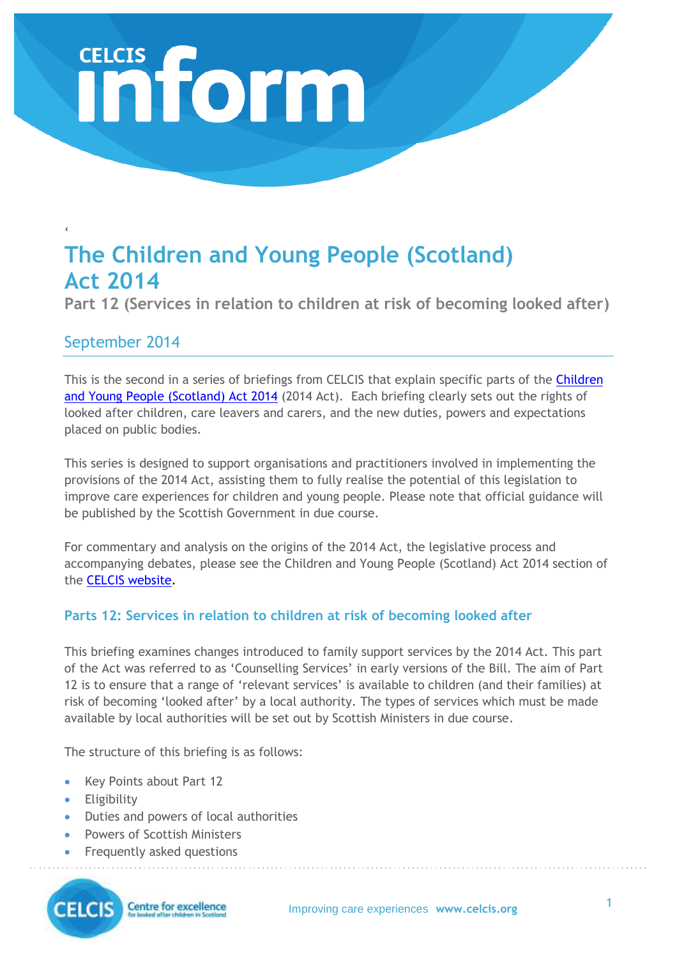# **Inform**

# $\frac{6}{1}$ **The Children and Young People (Scotland) Act 2014**

**Part 12 (Services in relation to children at risk of becoming looked after)**

# September 2014

This is the second in a series of briefings from CELCIS that explain specific parts of the Children and [Young People \(Scotland\) Act 2014](http://www.legislation.gov.uk/asp/2014/8/enacted) (2014 Act). Each briefing clearly sets out the rights of looked after children, care leavers and carers, and the new duties, powers and expectations placed on public bodies.

This series is designed to support organisations and practitioners involved in implementing the provisions of the 2014 Act, assisting them to fully realise the potential of this legislation to improve care experiences for children and young people. Please note that official guidance will be published by the Scottish Government in due course.

For commentary and analysis on the origins of the 2014 Act, the legislative process and accompanying debates, please see the Children and Young People (Scotland) Act 2014 section of the [CELCIS website.](http://www.celcis.org/resources/by/category/children_and_young_people_bill)

### **Parts 12: Services in relation to children at risk of becoming looked after**

This briefing examines changes introduced to family support services by the 2014 Act. This part of the Act was referred to as 'Counselling Services' in early versions of the Bill. The aim of Part 12 is to ensure that a range of 'relevant services' is available to children (and their families) at risk of becoming 'looked after' by a local authority. The types of services which must be made available by local authorities will be set out by Scottish Ministers in due course.

The structure of this briefing is as follows:

- Key Points about Part 12
- Eligibility

**CELCIS** 

• Duties and powers of local authorities

**Centre for excellence** 

- Powers of Scottish Ministers
- Frequently asked questions

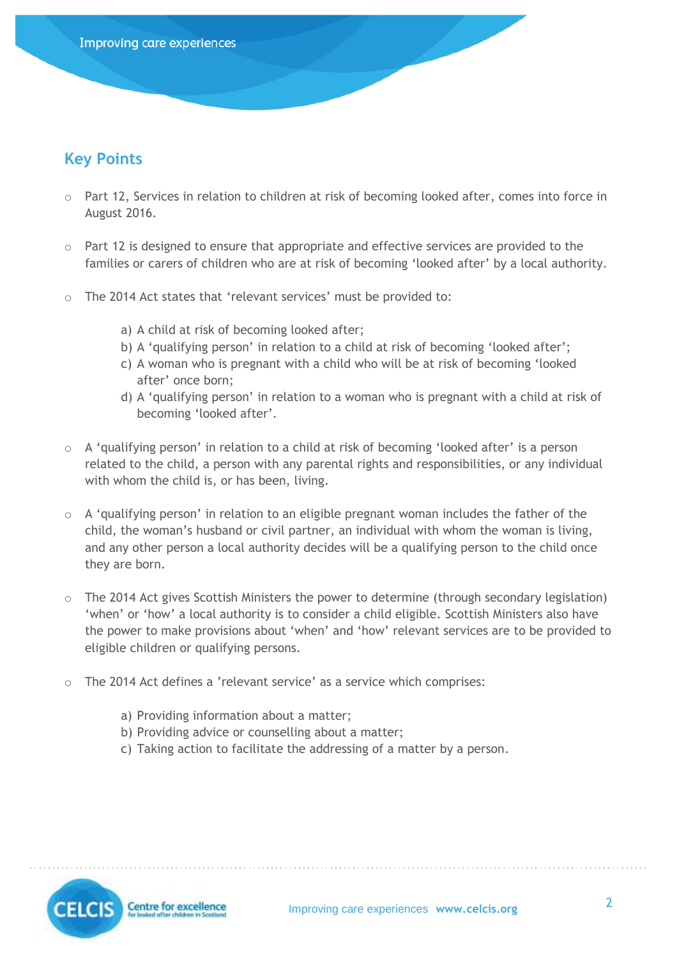# **Key Points**

- o Part 12, Services in relation to children at risk of becoming looked after, comes into force in August 2016.
- $\circ$  Part 12 is designed to ensure that appropriate and effective services are provided to the families or carers of children who are at risk of becoming 'looked after' by a local authority.
- o The 2014 Act states that 'relevant services' must be provided to:
	- a) A child at risk of becoming looked after;
	- b) A 'qualifying person' in relation to a child at risk of becoming 'looked after';
	- c) A woman who is pregnant with a child who will be at risk of becoming 'looked after' once born;
	- d) A 'qualifying person' in relation to a woman who is pregnant with a child at risk of becoming 'looked after'.
- o A 'qualifying person' in relation to a child at risk of becoming 'looked after' is a person related to the child, a person with any parental rights and responsibilities, or any individual with whom the child is, or has been, living.
- $\circ$  A 'qualifying person' in relation to an eligible pregnant woman includes the father of the child, the woman's husband or civil partner, an individual with whom the woman is living, and any other person a local authority decides will be a qualifying person to the child once they are born.
- o The 2014 Act gives Scottish Ministers the power to determine (through secondary legislation) 'when' or 'how' a local authority is to consider a child eligible. Scottish Ministers also have the power to make provisions about 'when' and 'how' relevant services are to be provided to eligible children or qualifying persons.
- o The 2014 Act defines a 'relevant service' as a service which comprises:
	- a) Providing information about a matter;
	- b) Providing advice or counselling about a matter;
	- c) Taking action to facilitate the addressing of a matter by a person.

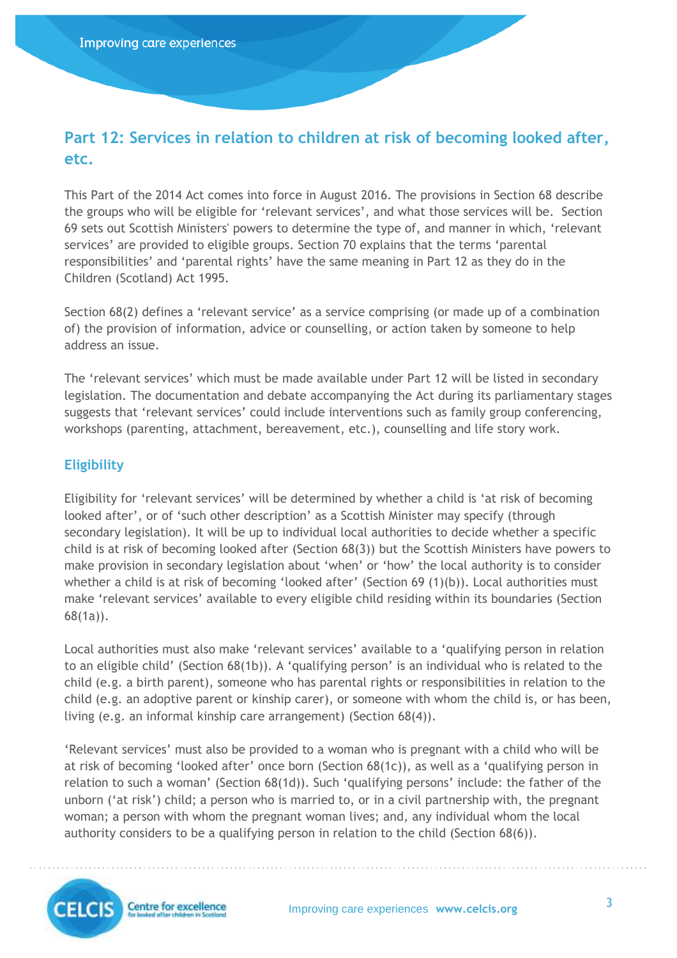# **Part 12: Services in relation to children at risk of becoming looked after, etc.**

This Part of the 2014 Act comes into force in August 2016. The provisions in Section 68 describe the groups who will be eligible for 'relevant services', and what those services will be. Section 69 sets out Scottish Ministers' powers to determine the type of, and manner in which, 'relevant services' are provided to eligible groups. Section 70 explains that the terms 'parental responsibilities' and 'parental rights' have the same meaning in Part 12 as they do in the Children (Scotland) Act 1995.

Section 68(2) defines a 'relevant service' as a service comprising (or made up of a combination of) the provision of information, advice or counselling, or action taken by someone to help address an issue.

The 'relevant services' which must be made available under Part 12 will be listed in secondary legislation. The documentation and debate accompanying the Act during its parliamentary stages suggests that 'relevant services' could include interventions such as family group conferencing, workshops (parenting, attachment, bereavement, etc.), counselling and life story work.

### **Eligibility**

Eligibility for 'relevant services' will be determined by whether a child is 'at risk of becoming looked after', or of 'such other description' as a Scottish Minister may specify (through secondary legislation). It will be up to individual local authorities to decide whether a specific child is at risk of becoming looked after (Section 68(3)) but the Scottish Ministers have powers to make provision in secondary legislation about 'when' or 'how' the local authority is to consider whether a child is at risk of becoming 'looked after' (Section 69 (1)(b)). Local authorities must make 'relevant services' available to every eligible child residing within its boundaries (Section 68(1a)).

Local authorities must also make 'relevant services' available to a 'qualifying person in relation to an eligible child' (Section 68(1b)). A 'qualifying person' is an individual who is related to the child (e.g. a birth parent), someone who has parental rights or responsibilities in relation to the child (e.g. an adoptive parent or kinship carer), or someone with whom the child is, or has been, living (e.g. an informal kinship care arrangement) (Section 68(4)).

'Relevant services' must also be provided to a woman who is pregnant with a child who will be at risk of becoming 'looked after' once born (Section 68(1c)), as well as a 'qualifying person in relation to such a woman' (Section 68(1d)). Such 'qualifying persons' include: the father of the unborn ('at risk') child; a person who is married to, or in a civil partnership with, the pregnant woman; a person with whom the pregnant woman lives; and, any individual whom the local authority considers to be a qualifying person in relation to the child (Section 68(6)).

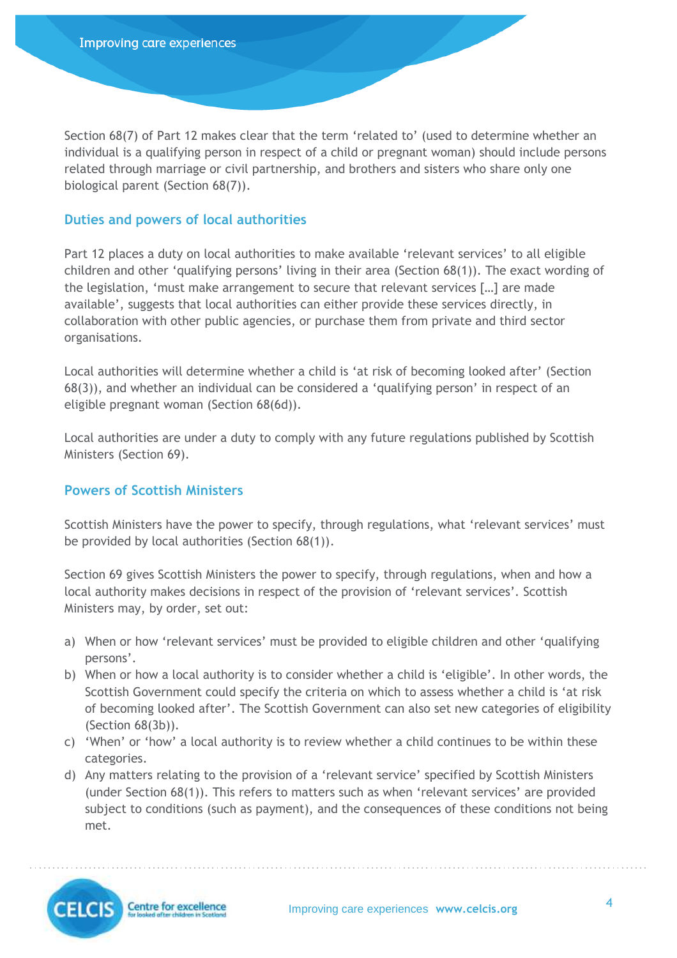Section 68(7) of Part 12 makes clear that the term 'related to' (used to determine whether an individual is a qualifying person in respect of a child or pregnant woman) should include persons related through marriage or civil partnership, and brothers and sisters who share only one biological parent (Section 68(7)).

### **Duties and powers of local authorities**

Part 12 places a duty on local authorities to make available 'relevant services' to all eligible children and other 'qualifying persons' living in their area (Section 68(1)). The exact wording of the legislation, 'must make arrangement to secure that relevant services […] are made available', suggests that local authorities can either provide these services directly, in collaboration with other public agencies, or purchase them from private and third sector organisations.

Local authorities will determine whether a child is 'at risk of becoming looked after' (Section 68(3)), and whether an individual can be considered a 'qualifying person' in respect of an eligible pregnant woman (Section 68(6d)).

Local authorities are under a duty to comply with any future regulations published by Scottish Ministers (Section 69).

### **Powers of Scottish Ministers**

Scottish Ministers have the power to specify, through regulations, what 'relevant services' must be provided by local authorities (Section 68(1)).

Section 69 gives Scottish Ministers the power to specify, through regulations, when and how a local authority makes decisions in respect of the provision of 'relevant services'. Scottish Ministers may, by order, set out:

- a) When or how 'relevant services' must be provided to eligible children and other 'qualifying persons'.
- b) When or how a local authority is to consider whether a child is 'eligible'. In other words, the Scottish Government could specify the criteria on which to assess whether a child is 'at risk of becoming looked after'. The Scottish Government can also set new categories of eligibility (Section 68(3b)).
- c) 'When' or 'how' a local authority is to review whether a child continues to be within these categories.
- d) Any matters relating to the provision of a 'relevant service' specified by Scottish Ministers (under Section 68(1)). This refers to matters such as when 'relevant services' are provided subject to conditions (such as payment), and the consequences of these conditions not being met.

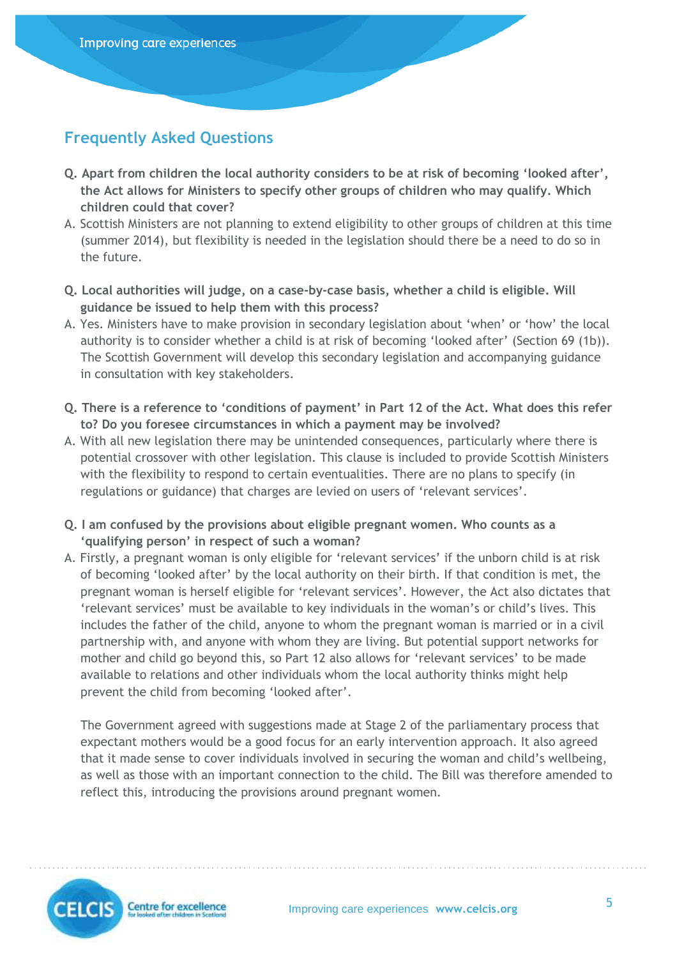# **Frequently Asked Questions**

- **Q. Apart from children the local authority considers to be at risk of becoming 'looked after', the Act allows for Ministers to specify other groups of children who may qualify. Which children could that cover?**
- A. Scottish Ministers are not planning to extend eligibility to other groups of children at this time (summer 2014), but flexibility is needed in the legislation should there be a need to do so in the future.
- **Q. Local authorities will judge, on a case-by-case basis, whether a child is eligible. Will guidance be issued to help them with this process?**
- A. Yes. Ministers have to make provision in secondary legislation about 'when' or 'how' the local authority is to consider whether a child is at risk of becoming 'looked after' (Section 69 (1b)). The Scottish Government will develop this secondary legislation and accompanying guidance in consultation with key stakeholders.
- **Q. There is a reference to 'conditions of payment' in Part 12 of the Act. What does this refer to? Do you foresee circumstances in which a payment may be involved?**
- A. With all new legislation there may be unintended consequences, particularly where there is potential crossover with other legislation. This clause is included to provide Scottish Ministers with the flexibility to respond to certain eventualities. There are no plans to specify (in regulations or guidance) that charges are levied on users of 'relevant services'.
- **Q. I am confused by the provisions about eligible pregnant women. Who counts as a 'qualifying person' in respect of such a woman?**
- A. Firstly, a pregnant woman is only eligible for 'relevant services' if the unborn child is at risk of becoming 'looked after' by the local authority on their birth. If that condition is met, the pregnant woman is herself eligible for 'relevant services'. However, the Act also dictates that 'relevant services' must be available to key individuals in the woman's or child's lives. This includes the father of the child, anyone to whom the pregnant woman is married or in a civil partnership with, and anyone with whom they are living. But potential support networks for mother and child go beyond this, so Part 12 also allows for 'relevant services' to be made available to relations and other individuals whom the local authority thinks might help prevent the child from becoming 'looked after'.

The Government agreed with suggestions made at Stage 2 of the parliamentary process that expectant mothers would be a good focus for an early intervention approach. It also agreed that it made sense to cover individuals involved in securing the woman and child's wellbeing, as well as those with an important connection to the child. The Bill was therefore amended to reflect this, introducing the provisions around pregnant women.

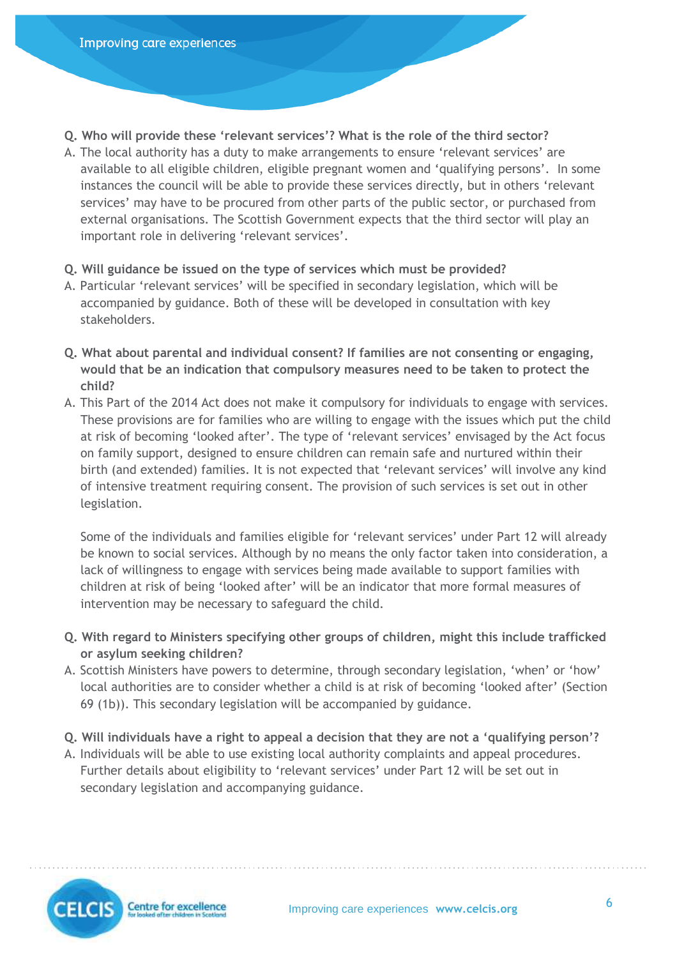- **Q. Who will provide these 'relevant services'? What is the role of the third sector?**
- A. The local authority has a duty to make arrangements to ensure 'relevant services' are available to all eligible children, eligible pregnant women and 'qualifying persons'. In some instances the council will be able to provide these services directly, but in others 'relevant services' may have to be procured from other parts of the public sector, or purchased from external organisations. The Scottish Government expects that the third sector will play an important role in delivering 'relevant services'.
- **Q. Will guidance be issued on the type of services which must be provided?**
- A. Particular 'relevant services' will be specified in secondary legislation, which will be accompanied by guidance. Both of these will be developed in consultation with key stakeholders.
- **Q. What about parental and individual consent? If families are not consenting or engaging, would that be an indication that compulsory measures need to be taken to protect the child?**
- A. This Part of the 2014 Act does not make it compulsory for individuals to engage with services. These provisions are for families who are willing to engage with the issues which put the child at risk of becoming 'looked after'. The type of 'relevant services' envisaged by the Act focus on family support, designed to ensure children can remain safe and nurtured within their birth (and extended) families. It is not expected that 'relevant services' will involve any kind of intensive treatment requiring consent. The provision of such services is set out in other legislation.

Some of the individuals and families eligible for 'relevant services' under Part 12 will already be known to social services. Although by no means the only factor taken into consideration, a lack of willingness to engage with services being made available to support families with children at risk of being 'looked after' will be an indicator that more formal measures of intervention may be necessary to safeguard the child.

- **Q. With regard to Ministers specifying other groups of children, might this include trafficked or asylum seeking children?**
- A. Scottish Ministers have powers to determine, through secondary legislation, 'when' or 'how' local authorities are to consider whether a child is at risk of becoming 'looked after' (Section 69 (1b)). This secondary legislation will be accompanied by guidance.
- **Q. Will individuals have a right to appeal a decision that they are not a 'qualifying person'?**
- A. Individuals will be able to use existing local authority complaints and appeal procedures. Further details about eligibility to 'relevant services' under Part 12 will be set out in secondary legislation and accompanying guidance.